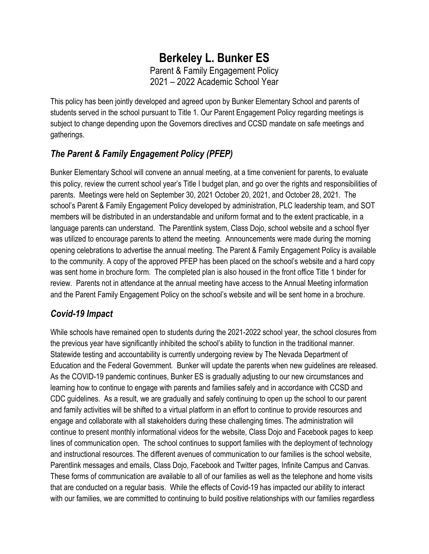## **Berkeley L. Bunker ES** Parent & Family Engagement Policy 2021 – 2022 Academic School Year

This policy has been jointly developed and agreed upon by Bunker Elementary School and parents of students served in the school pursuant to Title 1. Our Parent Engagement Policy regarding meetings is subject to change depending upon the Governors directives and CCSD mandate on safe meetings and gatherings.

# *The Parent & Family Engagement Policy (PFEP)*

Bunker Elementary School will convene an annual meeting, at a time convenient for parents, to evaluate this policy, review the current school year's Title I budget plan, and go over the rights and responsibilities of parents. Meetings were held on September 30, 2021 October 20, 2021, and October 28, 2021. The school's Parent & Family Engagement Policy developed by administration, PLC leadership team, and SOT members will be distributed in an understandable and uniform format and to the extent practicable, in a language parents can understand. The Parentlink system, Class Dojo, school website and a school flyer was utilized to encourage parents to attend the meeting. Announcements were made during the morning opening celebrations to advertise the annual meeting. The Parent & Family Engagement Policy is available to the community. A copy of the approved PFEP has been placed on the school's website and a hard copy was sent home in brochure form. The completed plan is also housed in the front office Title 1 binder for review. Parents not in attendance at the annual meeting have access to the Annual Meeting information and the Parent Family Engagement Policy on the school's website and will be sent home in a brochure.

### *Covid-19 Impact*

While schools have remained open to students during the 2021-2022 school year, the school closures from the previous year have significantly inhibited the school's ability to function in the traditional manner. Statewide testing and accountability is currently undergoing review by The Nevada Department of Education and the Federal Government. Bunker will update the parents when new guidelines are released. As the COVID-19 pandemic continues, Bunker ES is gradually adjusting to our new circumstances and learning how to continue to engage with parents and families safely and in accordance with CCSD and CDC guidelines. As a result, we are gradually and safely continuing to open up the school to our parent and family activities will be shifted to a virtual platform in an effort to continue to provide resources and engage and collaborate with all stakeholders during these challenging times. The administration will continue to present monthly informational videos for the website, Class Dojo and Facebook pages to keep lines of communication open. The school continues to support families with the deployment of technology and instructional resources. The different avenues of communication to our families is the school website, Parentlink messages and emails, Class Dojo, Facebook and Twitter pages, Infinite Campus and Canvas. These forms of communication are available to all of our families as well as the telephone and home visits that are conducted on a regular basis. While the effects of Covid-19 has impacted our ability to interact with our families, we are committed to continuing to build positive relationships with our families regardless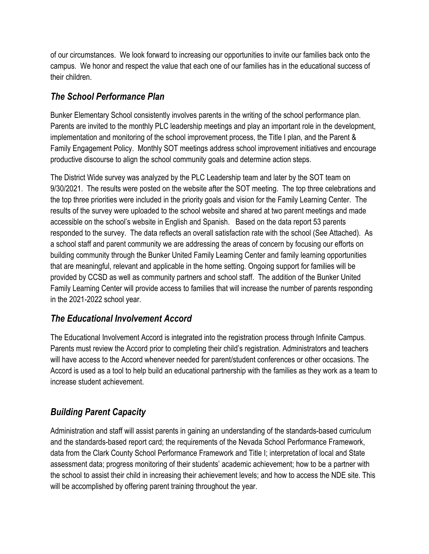of our circumstances. We look forward to increasing our opportunities to invite our families back onto the campus. We honor and respect the value that each one of our families has in the educational success of their children.

#### *The School Performance Plan*

Bunker Elementary School consistently involves parents in the writing of the school performance plan. Parents are invited to the monthly PLC leadership meetings and play an important role in the development, implementation and monitoring of the school improvement process, the Title I plan, and the Parent & Family Engagement Policy. Monthly SOT meetings address school improvement initiatives and encourage productive discourse to align the school community goals and determine action steps.

The District Wide survey was analyzed by the PLC Leadership team and later by the SOT team on 9/30/2021. The results were posted on the website after the SOT meeting. The top three celebrations and the top three priorities were included in the priority goals and vision for the Family Learning Center. The results of the survey were uploaded to the school website and shared at two parent meetings and made accessible on the school's website in English and Spanish. Based on the data report 53 parents responded to the survey. The data reflects an overall satisfaction rate with the school (See Attached). As a school staff and parent community we are addressing the areas of concern by focusing our efforts on building community through the Bunker United Family Learning Center and family learning opportunities that are meaningful, relevant and applicable in the home setting. Ongoing support for families will be provided by CCSD as well as community partners and school staff. The addition of the Bunker United Family Learning Center will provide access to families that will increase the number of parents responding in the 2021-2022 school year.

### *The Educational Involvement Accord*

The Educational Involvement Accord is integrated into the registration process through Infinite Campus. Parents must review the Accord prior to completing their child's registration. Administrators and teachers will have access to the Accord whenever needed for parent/student conferences or other occasions. The Accord is used as a tool to help build an educational partnership with the families as they work as a team to increase student achievement.

# *Building Parent Capacity*

Administration and staff will assist parents in gaining an understanding of the standards-based curriculum and the standards-based report card; the requirements of the Nevada School Performance Framework, data from the Clark County School Performance Framework and Title I; interpretation of local and State assessment data; progress monitoring of their students' academic achievement; how to be a partner with the school to assist their child in increasing their achievement levels; and how to access the NDE site. This will be accomplished by offering parent training throughout the year.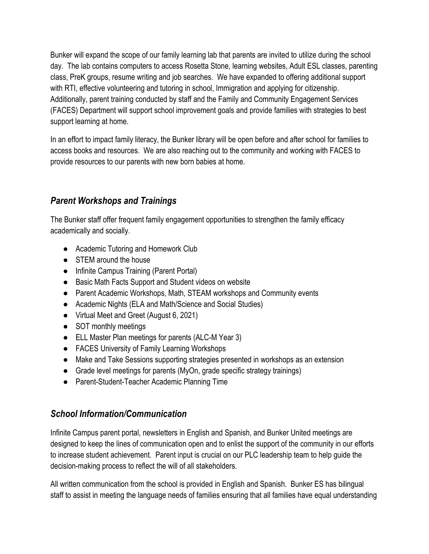Bunker will expand the scope of our family learning lab that parents are invited to utilize during the school day. The lab contains computers to access Rosetta Stone, learning websites, Adult ESL classes, parenting class, PreK groups, resume writing and job searches. We have expanded to offering additional support with RTI, effective volunteering and tutoring in school, Immigration and applying for citizenship. Additionally, parent training conducted by staff and the Family and Community Engagement Services (FACES) Department will support school improvement goals and provide families with strategies to best support learning at home.

In an effort to impact family literacy, the Bunker library will be open before and after school for families to access books and resources. We are also reaching out to the community and working with FACES to provide resources to our parents with new born babies at home.

### *Parent Workshops and Trainings*

The Bunker staff offer frequent family engagement opportunities to strengthen the family efficacy academically and socially.

- Academic Tutoring and Homework Club
- STEM around the house
- Infinite Campus Training (Parent Portal)
- Basic Math Facts Support and Student videos on website
- Parent Academic Workshops, Math, STEAM workshops and Community events
- Academic Nights (ELA and Math/Science and Social Studies)
- Virtual Meet and Greet (August 6, 2021)
- SOT monthly meetings
- ELL Master Plan meetings for parents (ALC-M Year 3)
- FACES University of Family Learning Workshops
- Make and Take Sessions supporting strategies presented in workshops as an extension
- Grade level meetings for parents (MyOn, grade specific strategy trainings)
- Parent-Student-Teacher Academic Planning Time

#### *School Information/Communication*

Infinite Campus parent portal, newsletters in English and Spanish, and Bunker United meetings are designed to keep the lines of communication open and to enlist the support of the community in our efforts to increase student achievement. Parent input is crucial on our PLC leadership team to help guide the decision-making process to reflect the will of all stakeholders.

All written communication from the school is provided in English and Spanish. Bunker ES has bilingual staff to assist in meeting the language needs of families ensuring that all families have equal understanding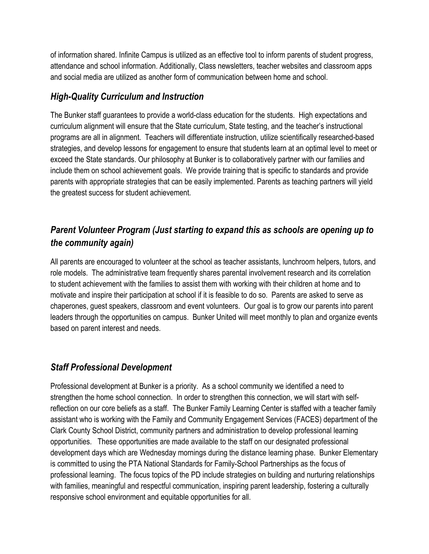of information shared. Infinite Campus is utilized as an effective tool to inform parents of student progress, attendance and school information. Additionally, Class newsletters, teacher websites and classroom apps and social media are utilized as another form of communication between home and school.

#### *High-Quality Curriculum and Instruction*

The Bunker staff guarantees to provide a world-class education for the students. High expectations and curriculum alignment will ensure that the State curriculum, State testing, and the teacher's instructional programs are all in alignment. Teachers will differentiate instruction, utilize scientifically researched-based strategies, and develop lessons for engagement to ensure that students learn at an optimal level to meet or exceed the State standards. Our philosophy at Bunker is to collaboratively partner with our families and include them on school achievement goals. We provide training that is specific to standards and provide parents with appropriate strategies that can be easily implemented. Parents as teaching partners will yield the greatest success for student achievement.

## *Parent Volunteer Program (Just starting to expand this as schools are opening up to the community again)*

All parents are encouraged to volunteer at the school as teacher assistants, lunchroom helpers, tutors, and role models. The administrative team frequently shares parental involvement research and its correlation to student achievement with the families to assist them with working with their children at home and to motivate and inspire their participation at school if it is feasible to do so. Parents are asked to serve as chaperones, guest speakers, classroom and event volunteers. Our goal is to grow our parents into parent leaders through the opportunities on campus. Bunker United will meet monthly to plan and organize events based on parent interest and needs.

### *Staff Professional Development*

Professional development at Bunker is a priority. As a school community we identified a need to strengthen the home school connection. In order to strengthen this connection, we will start with selfreflection on our core beliefs as a staff. The Bunker Family Learning Center is staffed with a teacher family assistant who is working with the Family and Community Engagement Services (FACES) department of the Clark County School District, community partners and administration to develop professional learning opportunities. These opportunities are made available to the staff on our designated professional development days which are Wednesday mornings during the distance learning phase. Bunker Elementary is committed to using the PTA National Standards for Family-School Partnerships as the focus of professional learning. The focus topics of the PD include strategies on building and nurturing relationships with families, meaningful and respectful communication, inspiring parent leadership, fostering a culturally responsive school environment and equitable opportunities for all.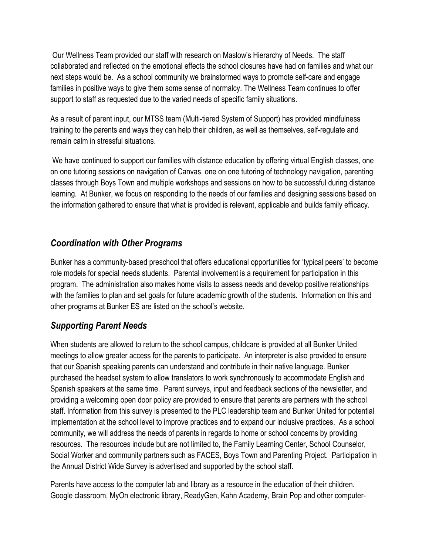Our Wellness Team provided our staff with research on Maslow's Hierarchy of Needs. The staff collaborated and reflected on the emotional effects the school closures have had on families and what our next steps would be. As a school community we brainstormed ways to promote self-care and engage families in positive ways to give them some sense of normalcy. The Wellness Team continues to offer support to staff as requested due to the varied needs of specific family situations.

As a result of parent input, our MTSS team (Multi-tiered System of Support) has provided mindfulness training to the parents and ways they can help their children, as well as themselves, self-regulate and remain calm in stressful situations.

We have continued to support our families with distance education by offering virtual English classes, one on one tutoring sessions on navigation of Canvas, one on one tutoring of technology navigation, parenting classes through Boys Town and multiple workshops and sessions on how to be successful during distance learning. At Bunker, we focus on responding to the needs of our families and designing sessions based on the information gathered to ensure that what is provided is relevant, applicable and builds family efficacy.

#### *Coordination with Other Programs*

Bunker has a community-based preschool that offers educational opportunities for 'typical peers' to become role models for special needs students. Parental involvement is a requirement for participation in this program. The administration also makes home visits to assess needs and develop positive relationships with the families to plan and set goals for future academic growth of the students. Information on this and other programs at Bunker ES are listed on the school's website.

#### *Supporting Parent Needs*

When students are allowed to return to the school campus, childcare is provided at all Bunker United meetings to allow greater access for the parents to participate. An interpreter is also provided to ensure that our Spanish speaking parents can understand and contribute in their native language. Bunker purchased the headset system to allow translators to work synchronously to accommodate English and Spanish speakers at the same time. Parent surveys, input and feedback sections of the newsletter, and providing a welcoming open door policy are provided to ensure that parents are partners with the school staff. Information from this survey is presented to the PLC leadership team and Bunker United for potential implementation at the school level to improve practices and to expand our inclusive practices. As a school community, we will address the needs of parents in regards to home or school concerns by providing resources. The resources include but are not limited to, the Family Learning Center, School Counselor, Social Worker and community partners such as FACES, Boys Town and Parenting Project. Participation in the Annual District Wide Survey is advertised and supported by the school staff.

Parents have access to the computer lab and library as a resource in the education of their children. Google classroom, MyOn electronic library, ReadyGen, Kahn Academy, Brain Pop and other computer-